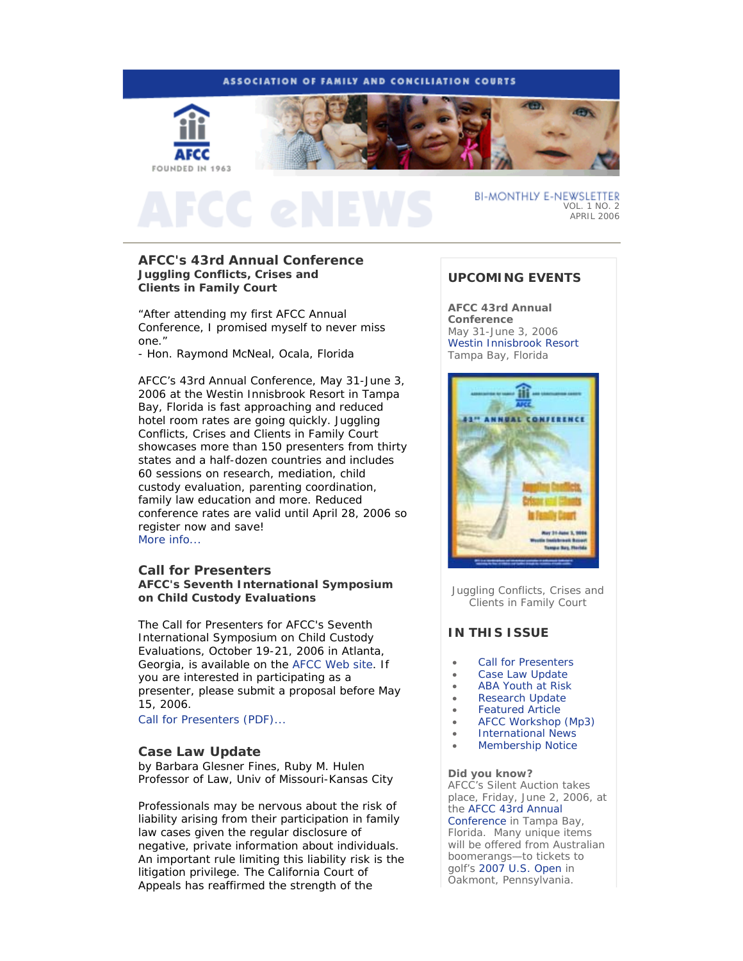

# **AFCC's 43rd Annual Conference Juggling Conflicts, Crises and Clients in Family Court**

*"After attending my first AFCC Annual Conference, I promised myself to never miss one."*

- Hon. Raymond McNeal, Ocala, Florida

AFCC's 43rd Annual Conference, May 31-June 3, 2006 at the Westin Innisbrook Resort in Tampa Bay, Florida is fast approaching and reduced hotel room rates are going quickly. *Juggling Conflicts, Crises and Clients in Family Court* showcases more than 150 presenters from thirty states and a half-dozen countries and includes 60 sessions on research, mediation, child custody evaluation, parenting coordination, family law education and more. Reduced conference rates are valid until April 28, 2006 so register now and save! More info...

## **Call for Presenters AFCC's Seventh International Symposium on Child Custody Evaluations**

The Call for Presenters for AFCC's Seventh International Symposium on Child Custody Evaluations, October 19-21, 2006 in Atlanta, Georgia, is available on the AFCC Web site. If you are interested in participating as a presenter, please submit a proposal before May 15, 2006.

Call for Presenters (PDF)...

## **Case Law Update**

*by Barbara Glesner Fines, Ruby M. Hulen Professor of Law, Univ of Missouri-Kansas City* 

Professionals may be nervous about the risk of liability arising from their participation in family law cases given the regular disclosure of negative, private information about individuals. An important rule limiting this liability risk is the litigation privilege. The California Court of Appeals has reaffirmed the strength of the

# **UPCOMING EVENTS**

**AFCC 43rd Annual Conference** May 31-June 3, 2006 Westin Innisbrook Resort Tampa Bay, Florida



*Juggling Conflicts, Crises and Clients in Family Court*

# **IN THIS ISSUE**

- Call for Presenters
- Case Law Update
- ABA Youth at Risk
- Research Update
- Featured Article
- AFCC Workshop (Mp3)
- International News
- Membership Notice

**Did you know?** AFCC's Silent Auction takes place, Friday, June 2, 2006, at the AFCC 43rd Annual Conference in Tampa Bay, Florida. Many unique items will be offered from Australian boomerangs—to tickets to golf's 2007 U.S. Open in Oakmont, Pennsylvania.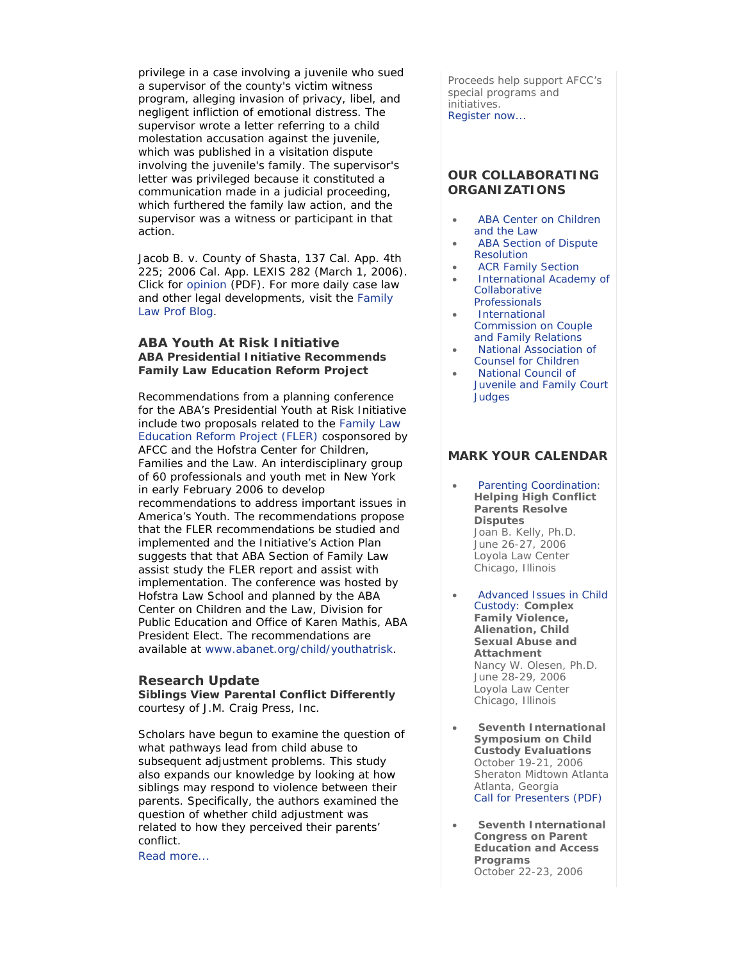privilege in a case involving a juvenile who sued a supervisor of the county's victim witness program, alleging invasion of privacy, libel, and negligent infliction of emotional distress. The supervisor wrote a letter referring to a child molestation accusation against the juvenile, which was published in a visitation dispute involving the juvenile's family. The supervisor's letter was privileged because it constituted a communication made in a judicial proceeding, which furthered the family law action, and the supervisor was a witness or participant in that action.

Jacob B. v. County of Shasta, 137 Cal. App. 4th 225; 2006 Cal. App. LEXIS 282 (March 1, 2006). Click for opinion (PDF). For more daily case law and other legal developments, visit the Family Law Prof Blog.

# **ABA Youth At Risk Initiative ABA Presidential Initiative Recommends Family Law Education Reform Project**

Recommendations from a planning conference for the ABA's Presidential Youth at Risk Initiative include two proposals related to the Family Law Education Reform Project (FLER) cosponsored by AFCC and the Hofstra Center for Children, Families and the Law. An interdisciplinary group of 60 professionals and youth met in New York in early February 2006 to develop recommendations to address important issues in America's Youth. The recommendations propose that the FLER recommendations be studied and implemented and the Initiative's Action Plan suggests that that ABA Section of Family Law assist study the FLER report and assist with implementation. The conference was hosted by Hofstra Law School and planned by the ABA Center on Children and the Law, Division for Public Education and Office of Karen Mathis, ABA President Elect. The recommendations are available at www.abanet.org/child/youthatrisk.

# **Research Update**

**Siblings View Parental Conflict Differently** *courtesy of J.M. Craig Press, Inc.*

Scholars have begun to examine the question of what pathways lead from child abuse to subsequent adjustment problems. This study also expands our knowledge by looking at how siblings may respond to violence between their parents. Specifically, the authors examined the question of whether child adjustment was related to how they perceived their parents' conflict.

Read more...

Proceeds help support AFCC's special programs and initiatives. Register now...

# **OUR COLLABORATING ORGANIZATIONS**

- ABA Center on Children and the Law
- ABA Section of Dispute Resolution
- ACR Family Section
- International Academy of Collaborative Professionals
- International Commission on Couple and Family Relations
- National Association of Counsel for Children
- National Council of Juvenile and Family Court **Judges**

# **MARK YOUR CALENDAR**

- Parenting Coordination: **Helping High Conflict Parents Resolve Disputes**  Joan B. Kelly, Ph.D. *June 26-27, 2006*  Loyola Law Center Chicago, Illinois
- Advanced Issues in Child Custody: **Complex Family Violence, Alienation, Child Sexual Abuse and Attachment**  Nancy W. Olesen, Ph.D. *June 28-29, 2006*  Loyola Law Center Chicago, Illinois
- **Seventh International Symposium on Child Custody Evaluations**  *October 19-21, 2006* Sheraton Midtown Atlanta Atlanta, Georgia Call for Presenters (PDF)
- **Seventh International Congress on Parent Education and Access Programs** *October 22-23, 2006*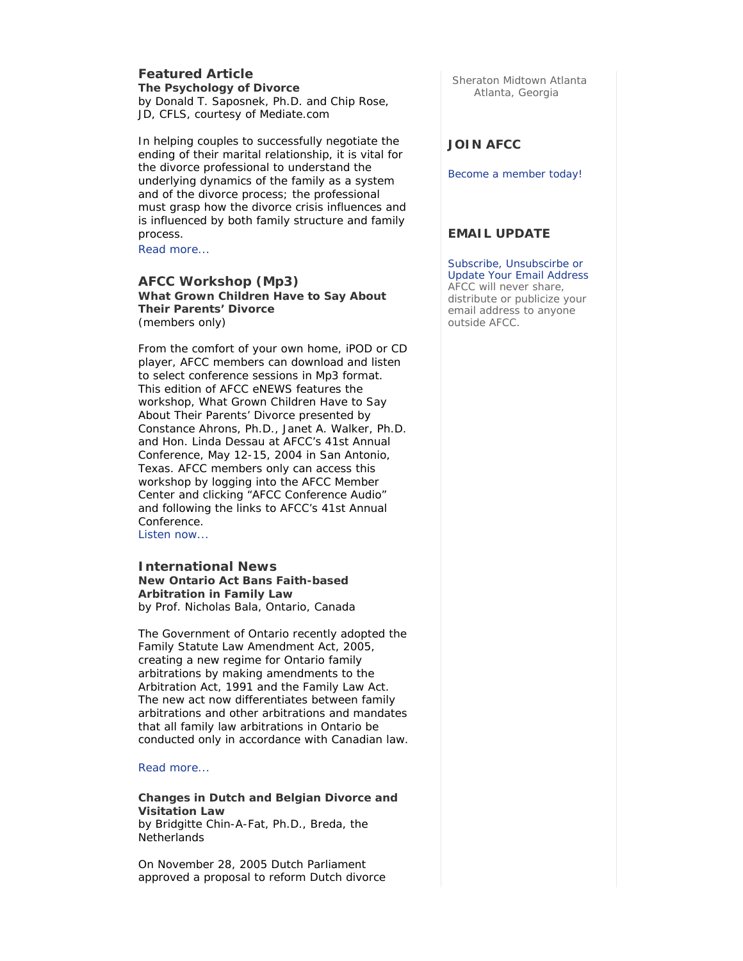## **Featured Article The Psychology of Divorce** *by Donald T. Saposnek, Ph.D. and Chip Rose, JD, CFLS, courtesy of Mediate.com*

In helping couples to successfully negotiate the ending of their marital relationship, it is vital for the divorce professional to understand the underlying dynamics of the family as a system and of the divorce process; the professional must grasp how the divorce crisis influences and is influenced by both family structure and family process.

Read more...

## **AFCC Workshop (Mp3) What Grown Children Have to Say About Their Parents' Divorce**  *(members only)*

From the comfort of your own home, iPOD or CD player, AFCC members can download and listen to select conference sessions in Mp3 format. This edition of *AFCC eNEWS* features the workshop, *What Grown Children Have to Say About Their Parents' Divorce* presented by Constance Ahrons, Ph.D., Janet A. Walker, Ph.D. and Hon. Linda Dessau at AFCC's 41st Annual Conference, May 12-15, 2004 in San Antonio, Texas. AFCC members only can access this workshop by logging into the AFCC Member Center and clicking "AFCC Conference Audio" and following the links to AFCC's 41st Annual Conference.

Listen now...

## **International News New Ontario Act Bans Faith-based Arbitration in Family Law**  *by Prof. Nicholas Bala, Ontario, Canada*

The Government of Ontario recently adopted the Family Statute Law Amendment Act, 2005, creating a new regime for Ontario family arbitrations by making amendments to the Arbitration Act, 1991 and the Family Law Act. The new act now differentiates between family arbitrations and other arbitrations and mandates that all family law arbitrations in Ontario be conducted only in accordance with Canadian law.

### Read more...

## **Changes in Dutch and Belgian Divorce and Visitation Law**  *by Bridgitte Chin-A-Fat, Ph.D., Breda, the Netherlands*

On November 28, 2005 Dutch Parliament approved a proposal to reform Dutch divorce Sheraton Midtown Atlanta Atlanta, Georgia

# **JOIN AFCC**

Become a member today!

# **EMAIL UPDATE**

Subscribe, Unsubscirbe or Update Your Email Address AFCC will never share, distribute or publicize your email address to anyone outside AFCC.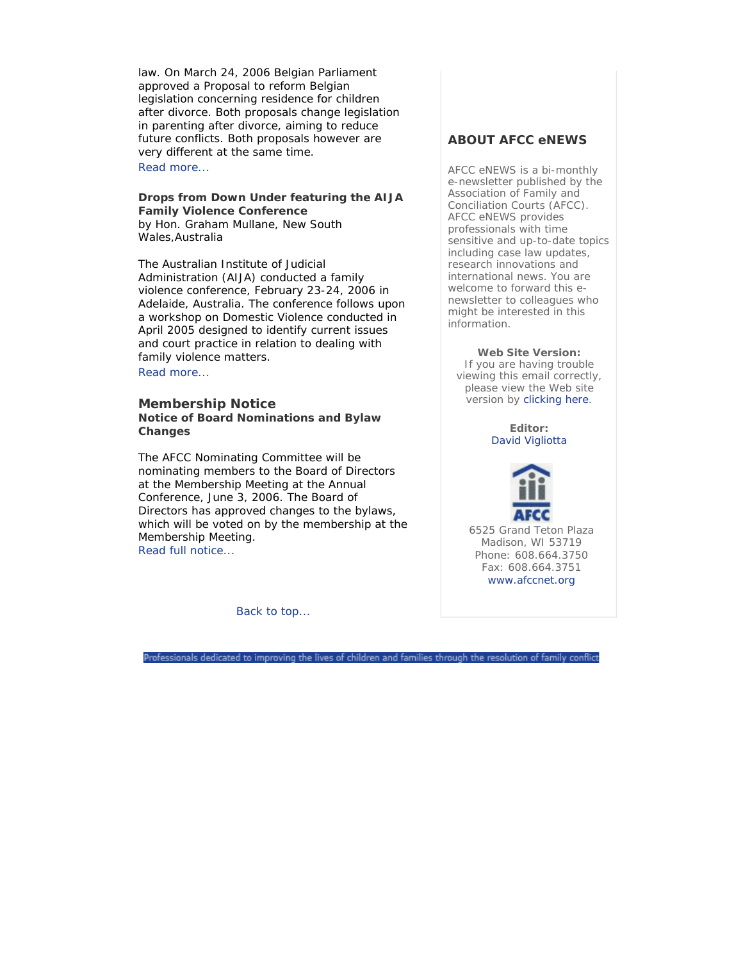law. On March 24, 2006 Belgian Parliament approved a Proposal to reform Belgian legislation concerning residence for children after divorce. Both proposals change legislation in parenting after divorce, aiming to reduce future conflicts. Both proposals however are very different at the same time. Read more...

### **Drops from Down Under featuring the AIJA Family Violence Conference**  *by Hon. Graham Mullane, New South Wales,Australia*

The Australian Institute of Judicial Administration (AIJA) conducted a family violence conference, February 23-24, 2006 in Adelaide, Australia. The conference follows upon a workshop on Domestic Violence conducted in April 2005 designed to identify current issues and court practice in relation to dealing with family violence matters. Read more...

# **Membership Notice Notice of Board Nominations and Bylaw Changes**

The AFCC Nominating Committee will be nominating members to the Board of Directors at the Membership Meeting at the Annual Conference, June 3, 2006. The Board of Directors has approved changes to the bylaws, which will be voted on by the membership at the Membership Meeting. Read full notice...

Back to top...

# **ABOUT AFCC eNEWS**

*AFCC eNEWS* is a bi-monthly e-newsletter published by the Association of Family and Conciliation Courts (AFCC). *AFCC eNEWS* provides professionals with time sensitive and up-to-date topics including case law updates, research innovations and international news. You are welcome to forward this enewsletter to colleagues who might be interested in this information.

**Web Site Version:** If you are having trouble viewing this email correctly, please view the Web site version by clicking here.

> **Editor:** David Vigliotta



6525 Grand Teton Plaza Madison, WI 53719 Phone: 608.664.3750 Fax: 608.664.3751 www.afccnet.org

Professionals dedicated to improving the lives of children and families through the resolution of family conflict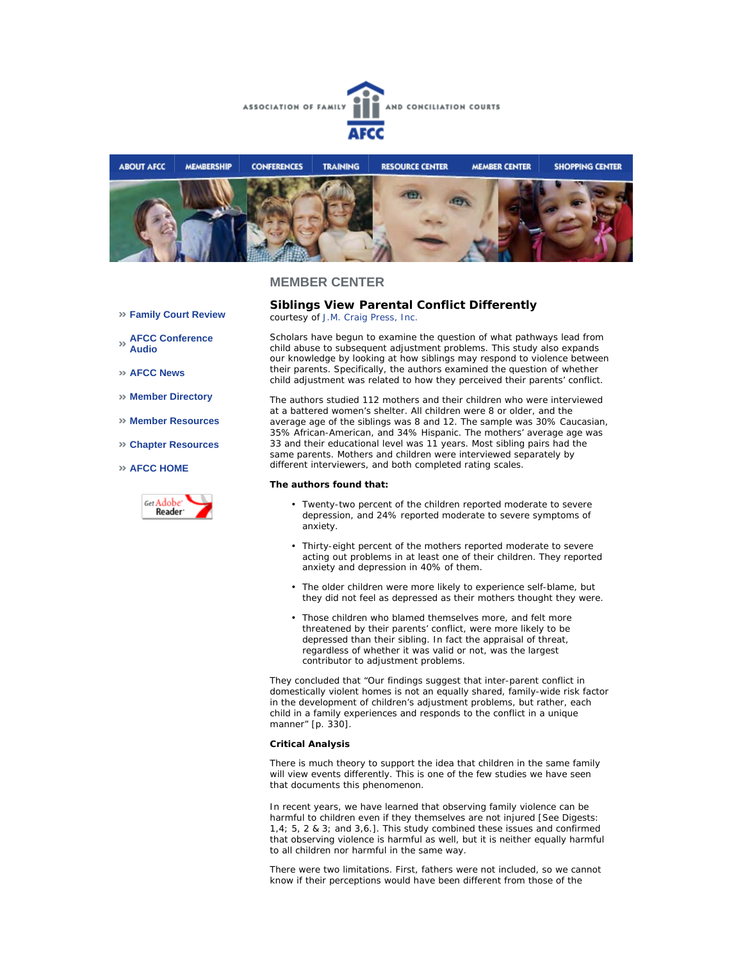



- **Family Court Review**
- **AFCC Conference Audio**
- **AFCC News**
- **Member Directory**
- **Member Resources**
- **Chapter Resources**
- **AFCC HOME**



**Siblings View Parental Conflict Differently** *courtesy of J.M. Craig Press, Inc.*

Scholars have begun to examine the question of what pathways lead from child abuse to subsequent adjustment problems. This study also expands our knowledge by looking at how siblings may respond to violence between their parents. Specifically, the authors examined the question of whether child adjustment was related to how they perceived their parents' conflict.

The authors studied 112 mothers and their children who were interviewed at a battered women's shelter. All children were 8 or older, and the average age of the siblings was 8 and 12. The sample was 30% Caucasian, 35% African-American, and 34% Hispanic. The mothers' average age was 33 and their educational level was 11 years. Most sibling pairs had the same parents. Mothers and children were interviewed separately by different interviewers, and both completed rating scales.

#### **The authors found that:**

- Twenty-two percent of the children reported moderate to severe depression, and 24% reported moderate to severe symptoms of anxiety.
- Thirty-eight percent of the mothers reported moderate to severe acting out problems in at least one of their children. They reported anxiety and depression in 40% of them.
- The older children were more likely to experience self-blame, but they did not feel as depressed as their mothers thought they were.
- Those children who blamed themselves more, and felt more threatened by their parents' conflict, were more likely to be depressed than their sibling. In fact the appraisal of threat, regardless of whether it was valid or not, was the largest contributor to adjustment problems.

They concluded that "Our findings suggest that inter-parent conflict in domestically violent homes is not an equally shared, family-wide risk factor in the development of children's adjustment problems, but rather, each child in a family experiences and responds to the conflict in a unique manner" [p. 330].

#### **Critical Analysis**

There is much theory to support the idea that children in the same family will view events differently. This is one of the few studies we have seen that documents this phenomenon.

In recent years, we have learned that observing family violence can be harmful to children even if they themselves are not injured [See Digests: 1,4; 5, 2 & 3; and 3,6.]. This study combined these issues and confirmed that observing violence is harmful as well, but it is neither equally harmful to all children nor harmful in the same way.

There were two limitations. First, fathers were not included, so we cannot know if their perceptions would have been different from those of the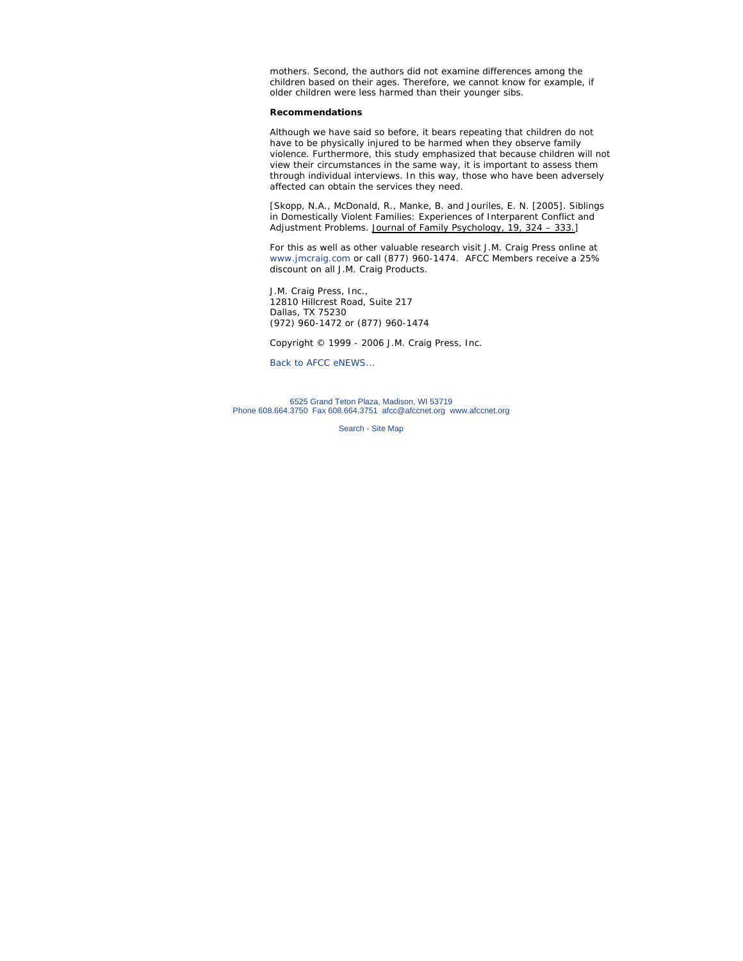mothers. Second, the authors did not examine differences among the children based on their ages. Therefore, we cannot know for example, if older children were less harmed than their younger sibs.

#### **Recommendations**

Although we have said so before, it bears repeating that children do not have to be physically injured to be harmed when they observe family violence. Furthermore, this study emphasized that because children will not view their circumstances in the same way, it is important to assess them through individual interviews. In this way, those who have been adversely affected can obtain the services they need.

[Skopp, N.A., McDonald, R., Manke, B. and Jouriles, E. N. [2005]. Siblings in Domestically Violent Families: Experiences of Interparent Conflict and Adjustment Problems. Journal of Family Psychology, 19, 324 - 333.]

For this as well as other valuable research visit J.M. Craig Press online at www.jmcraig.com or call (877) 960-1474. AFCC Members receive a 25% discount on all J.M. Craig Products.

J.M. Craig Press, Inc., 12810 Hillcrest Road, Suite 217 Dallas, TX 75230 (972) 960-1472 or (877) 960-1474

*Copyright © 1999 - 2006 J.M. Craig Press, Inc.*

Back to AFCC eNEWS...

6525 Grand Teton Plaza, Madison, WI 53719 Phone 608.664.3750 Fax 608.664.3751 afcc@afccnet.org www.afccnet.org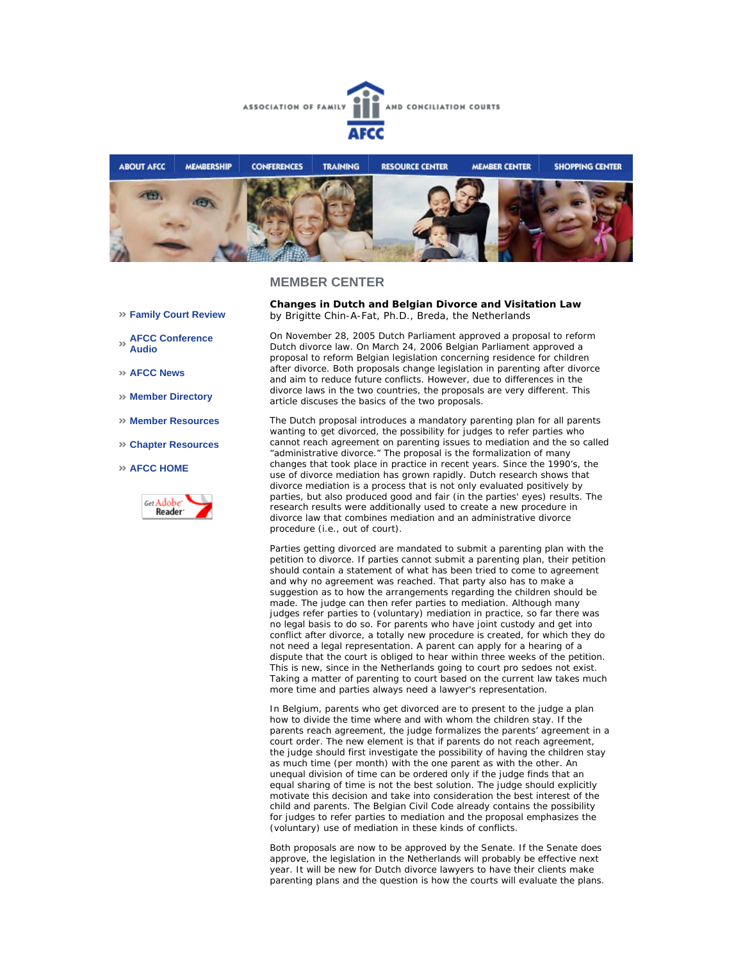



- **Family Court Review**
- **AFCC Conference Audio**
- **AFCC News**
- **Member Directory**
- **Member Resources**
- **Chapter Resources**
- **AFCC HOME**



**Changes in Dutch and Belgian Divorce and Visitation Law**  *by Brigitte Chin-A-Fat, Ph.D., Breda, the Netherlands*

On November 28, 2005 Dutch Parliament approved a proposal to reform Dutch divorce law. On March 24, 2006 Belgian Parliament approved a proposal to reform Belgian legislation concerning residence for children after divorce. Both proposals change legislation in parenting after divorce and aim to reduce future conflicts. However, due to differences in the divorce laws in the two countries, the proposals are very different. This article discuses the basics of the two proposals.

The Dutch proposal introduces a mandatory parenting plan for all parents wanting to get divorced, the possibility for judges to refer parties who cannot reach agreement on parenting issues to mediation and the so called "administrative divorce." The proposal is the formalization of many changes that took place in practice in recent years. Since the 1990's, the use of divorce mediation has grown rapidly. Dutch research shows that divorce mediation is a process that is not only evaluated positively by parties, but also produced good and fair (in the parties' eyes) results. The research results were additionally used to create a new procedure in divorce law that combines mediation and an administrative divorce procedure (i.e., out of court).

Parties getting divorced are mandated to submit a parenting plan with the petition to divorce. If parties cannot submit a parenting plan, their petition should contain a statement of what has been tried to come to agreement and why no agreement was reached. That party also has to make a suggestion as to how the arrangements regarding the children should be made. The judge can then refer parties to mediation. Although many judges refer parties to (voluntary) mediation in practice, so far there was no legal basis to do so. For parents who have joint custody and get into conflict after divorce, a totally new procedure is created, for which they do not need a legal representation. A parent can apply for a hearing of a dispute that the court is obliged to hear within three weeks of the petition. This is new, since in the Netherlands going to court *pro se*does not exist. Taking a matter of parenting to court based on the current law takes much more time and parties always need a lawyer's representation.

In Belgium, parents who get divorced are to present to the judge a plan how to divide the time where and with whom the children stay. If the parents reach agreement, the judge formalizes the parents' agreement in a court order. The new element is that if parents do not reach agreement, the judge should first investigate the possibility of having the children stay as much time (per month) with the one parent as with the other. An unequal division of time can be ordered only if the judge finds that an equal sharing of time is not the best solution. The judge should explicitly motivate this decision and take into consideration the best interest of the child and parents. The Belgian Civil Code already contains the possibility for judges to refer parties to mediation and the proposal emphasizes the (voluntary) use of mediation in these kinds of conflicts.

Both proposals are now to be approved by the Senate. If the Senate does approve, the legislation in the Netherlands will probably be effective next year. It will be new for Dutch divorce lawyers to have their clients make parenting plans and the question is how the courts will evaluate the plans.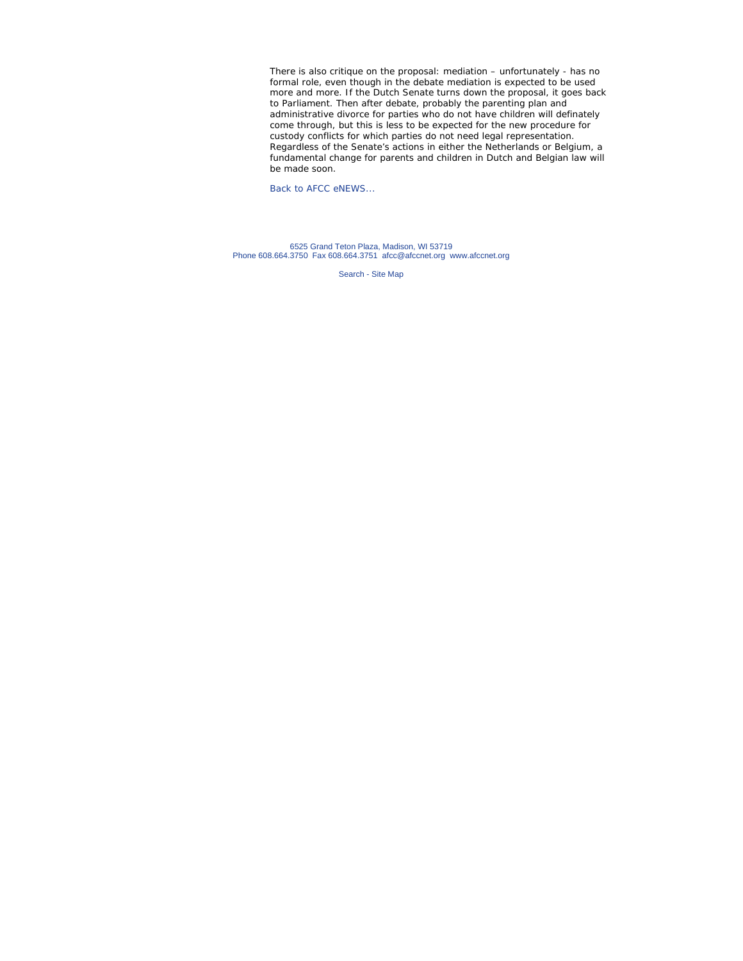There is also critique on the proposal: mediation – unfortunately - has no formal role, even though in the debate mediation is expected to be used more and more. If the Dutch Senate turns down the proposal, it goes back to Parliament. Then after debate, probably the parenting plan and administrative divorce for parties who do not have children will definately come through, but this is less to be expected for the new procedure for custody conflicts for which parties do not need legal representation. Regardless of the Senate's actions in either the Netherlands or Belgium, a fundamental change for parents and children in Dutch and Belgian law will be made soon.

Back to AFCC eNEWS...

6525 Grand Teton Plaza, Madison, WI 53719 Phone 608.664.3750 Fax 608.664.3751 afcc@afccnet.org www.afccnet.org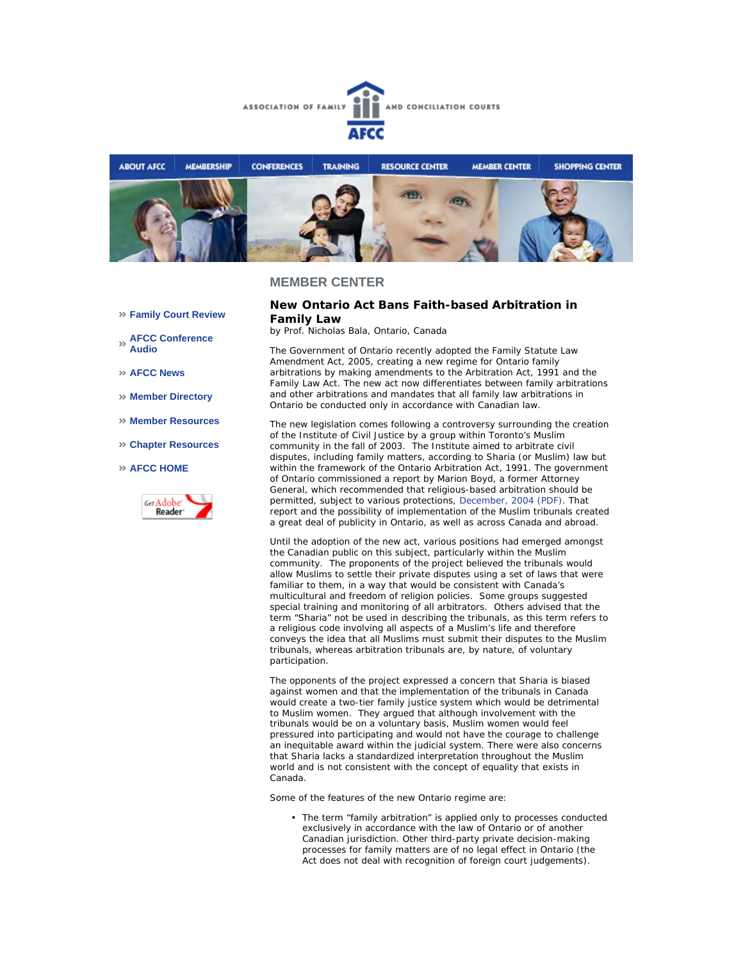



#### **Family Court Review**

- **AFCC Conference Audio**
- **AFCC News**
- **Member Directory**
- **Member Resources**
- **Chapter Resources**

#### **AFCC HOME**



#### **New Ontario Act Bans Faith-based Arbitration in Family Law**

*by Prof. Nicholas Bala, Ontario, Canada* 

The Government of Ontario recently adopted the Family Statute Law Amendment Act, 2005, creating a new regime for Ontario family arbitrations by making amendments to the Arbitration Act, 1991 and the Family Law Act. The new act now differentiates between family arbitrations and other arbitrations and mandates that all family law arbitrations in Ontario be conducted only in accordance with Canadian law.

The new legislation comes following a controversy surrounding the creation of the Institute of Civil Justice by a group within Toronto's Muslim community in the fall of 2003. The Institute aimed to arbitrate civil disputes, including family matters, according to Sharia (or Muslim) law but within the framework of the Ontario Arbitration Act, 1991. The government of Ontario commissioned a report by Marion Boyd, a former Attorney General, which recommended that religious-based arbitration should be permitted, subject to various protections, December, 2004 (PDF). That report and the possibility of implementation of the Muslim tribunals created a great deal of publicity in Ontario, as well as across Canada and abroad.

Until the adoption of the new act, various positions had emerged amongst the Canadian public on this subject, particularly within the Muslim community. The proponents of the project believed the tribunals would allow Muslims to settle their private disputes using a set of laws that were familiar to them, in a way that would be consistent with Canada's multicultural and freedom of religion policies. Some groups suggested special training and monitoring of all arbitrators. Others advised that the term "Sharia" not be used in describing the tribunals, as this term refers to a religious code involving all aspects of a Muslim's life and therefore conveys the idea that all Muslims must submit their disputes to the Muslim tribunals, whereas arbitration tribunals are, by nature, of voluntary participation.

The opponents of the project expressed a concern that Sharia is biased against women and that the implementation of the tribunals in Canada would create a two-tier family justice system which would be detrimental to Muslim women. They argued that although involvement with the tribunals would be on a voluntary basis, Muslim women would feel pressured into participating and would not have the courage to challenge an inequitable award within the judicial system. There were also concerns that Sharia lacks a standardized interpretation throughout the Muslim world and is not consistent with the concept of equality that exists in Canada.

Some of the features of the new Ontario regime are:

• The term "family arbitration" is applied only to processes conducted exclusively in accordance with the law of Ontario or of another Canadian jurisdiction. Other third-party private decision-making processes for family matters are of no legal effect in Ontario (the Act does not deal with recognition of foreign court judgements).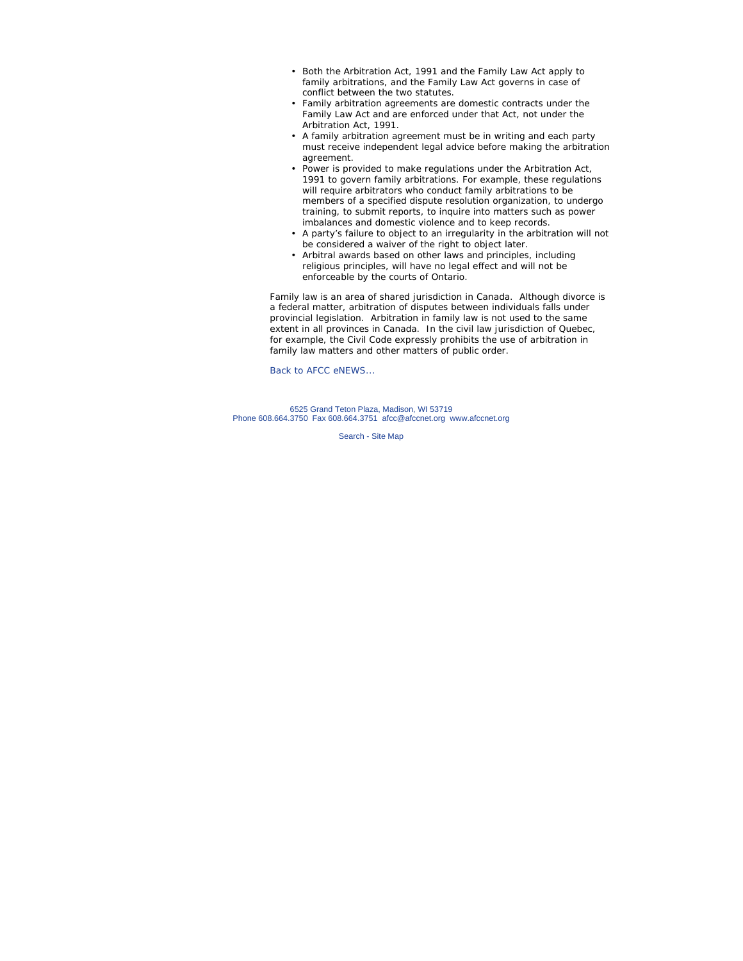- Both the Arbitration Act, 1991 and the Family Law Act apply to family arbitrations, and the Family Law Act governs in case of conflict between the two statutes.
- Family arbitration agreements are domestic contracts under the Family Law Act and are enforced under that Act, not under the Arbitration Act, 1991.
- A family arbitration agreement must be in writing and each party must receive independent legal advice before making the arbitration agreement.
- Power is provided to make regulations under the Arbitration Act, 1991 to govern family arbitrations. For example, these regulations will require arbitrators who conduct family arbitrations to be members of a specified dispute resolution organization, to undergo training, to submit reports, to inquire into matters such as power imbalances and domestic violence and to keep records.
- A party's failure to object to an irregularity in the arbitration will not be considered a waiver of the right to object later.
- Arbitral awards based on other laws and principles, including religious principles, will have no legal effect and will not be enforceable by the courts of Ontario.

Family law is an area of shared jurisdiction in Canada. Although divorce is a federal matter, arbitration of disputes between individuals falls under provincial legislation. Arbitration in family law is not used to the same extent in all provinces in Canada. In the civil law jurisdiction of Quebec, for example, the *Civil Code* expressly prohibits the use of arbitration in family law matters and other matters of public order.

Back to AFCC eNEWS...

6525 Grand Teton Plaza, Madison, WI 53719 Phone 608.664.3750 Fax 608.664.3751 afcc@afccnet.org www.afccnet.org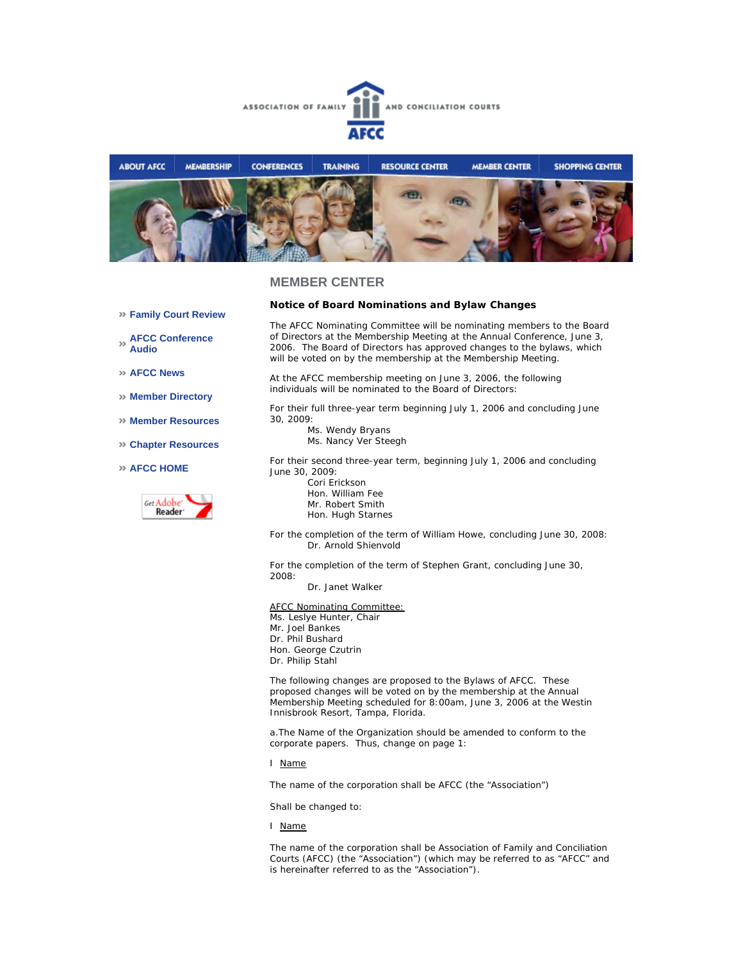



- **Family Court Review**
- **AFCC Conference Audio**
- **AFCC News**
- **Member Directory**
- **Member Resources**
- **Chapter Resources**
- **AFCC HOME**



## **Notice of Board Nominations and Bylaw Changes**

The AFCC Nominating Committee will be nominating members to the Board of Directors at the Membership Meeting at the Annual Conference, June 3, 2006. The Board of Directors has approved changes to the bylaws, which will be voted on by the membership at the Membership Meeting.

At the AFCC membership meeting on June 3, 2006, the following individuals will be nominated to the Board of Directors:

For their full three-year term beginning July 1, 2006 and concluding June 30, 2009:

Ms. Wendy Bryans Ms. Nancy Ver Steegh

For their second three-year term, beginning July 1, 2006 and concluding June 30, 2009:

- Cori Erickson Hon. William Fee Mr. Robert Smith Hon. Hugh Starnes
- For the completion of the term of William Howe, concluding June 30, 2008: Dr. Arnold Shienvold

For the completion of the term of Stephen Grant, concluding June 30, 2008:

Dr. Janet Walker

AFCC Nominating Committee: Ms. Leslye Hunter, Chair Mr. Joel Bankes Dr. Phil Bushard Hon. George Czutrin Dr. Philip Stahl

The following changes are proposed to the Bylaws of AFCC. These proposed changes will be voted on by the membership at the Annual Membership Meeting scheduled for 8:00am, June 3, 2006 at the Westin Innisbrook Resort, Tampa, Florida.

a.The Name of the Organization should be amended to conform to the corporate papers. Thus, change on page 1:

I Name

The name of the corporation shall be AFCC (the "Association")

Shall be changed to:

I Name

The name of the corporation shall be Association of Family and Conciliation Courts (AFCC) (the "Association") (which may be referred to as "AFCC" and is hereinafter referred to as the "Association").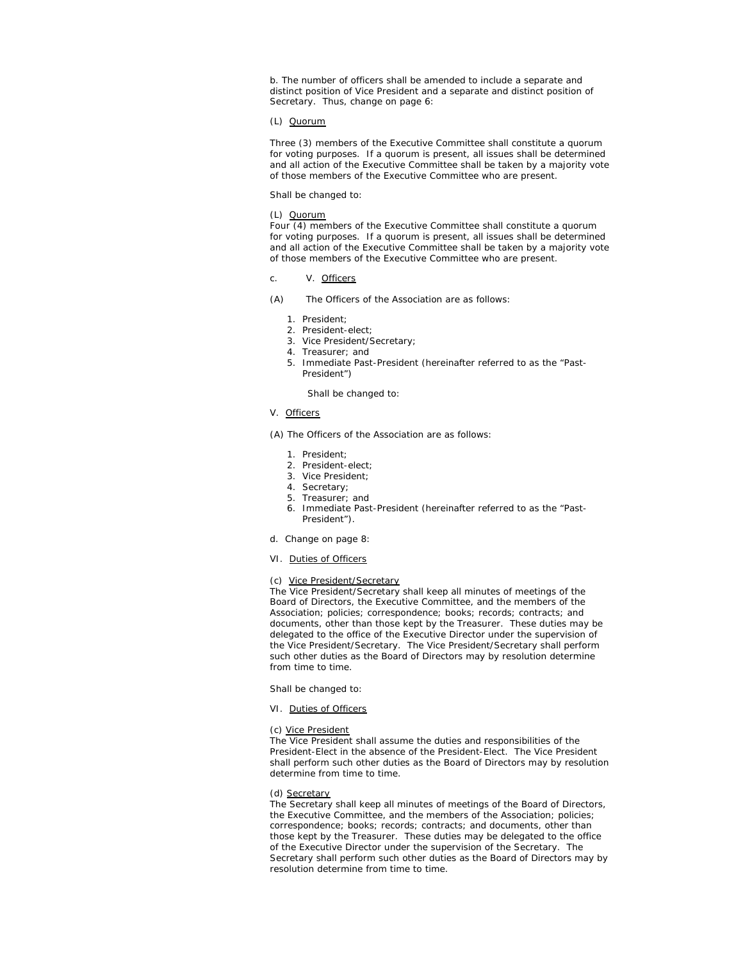b. The number of officers shall be amended to include a separate and distinct position of Vice President and a separate and distinct position of Secretary. Thus, change on page 6:

#### (L) Quorum

Three (3) members of the Executive Committee shall constitute a quorum for voting purposes. If a quorum is present, all issues shall be determined and all action of the Executive Committee shall be taken by a majority vote of those members of the Executive Committee who are present.

Shall be changed to:

#### (L) Quorum

Four (4) members of the Executive Committee shall constitute a quorum for voting purposes. If a quorum is present, all issues shall be determined and all action of the Executive Committee shall be taken by a majority vote of those members of the Executive Committee who are present.

#### c. V. Officers

(A) The Officers of the Association are as follows:

- 1. President;
- 2. President-elect;
- 3. Vice President/Secretary;
- 4. Treasurer; and
- 5. Immediate Past-President (hereinafter referred to as the "Past-President")

#### Shall be changed to:

## V. Officers

(A) The Officers of the Association are as follows:

- 1. President;
- 2. President-elect;
- 3. Vice President;
- 4. Secretary;
- 5. Treasurer; and
- 6. Immediate Past-President (hereinafter referred to as the "Past-President").
- d. Change on page 8:
- VI. Duties of Officers

#### (c) Vice President/Secretary

The Vice President/Secretary shall keep all minutes of meetings of the Board of Directors, the Executive Committee, and the members of the Association; policies; correspondence; books; records; contracts; and documents, other than those kept by the Treasurer. These duties may be delegated to the office of the Executive Director under the supervision of the Vice President/Secretary. The Vice President/Secretary shall perform such other duties as the Board of Directors may by resolution determine from time to time.

Shall be changed to:

#### VI. Duties of Officers

#### (c) Vice President

The Vice President shall assume the duties and responsibilities of the President-Elect in the absence of the President-Elect. The Vice President shall perform such other duties as the Board of Directors may by resolution determine from time to time.

#### (d) Secretary

The Secretary shall keep all minutes of meetings of the Board of Directors, the Executive Committee, and the members of the Association; policies; correspondence; books; records; contracts; and documents, other than those kept by the Treasurer. These duties may be delegated to the office of the Executive Director under the supervision of the Secretary. The Secretary shall perform such other duties as the Board of Directors may by resolution determine from time to time.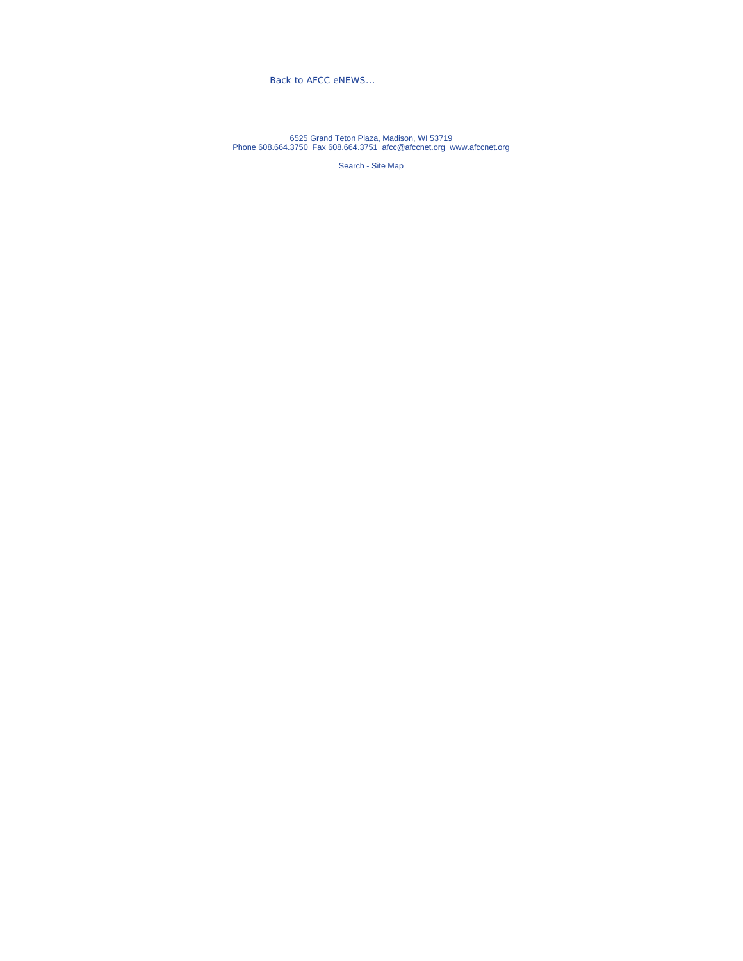Back to AFCC eNEWS...

6525 Grand Teton Plaza, Madison, WI 53719 Phone 608.664.3750 Fax 608.664.3751 afcc@afccnet.org www.afccnet.org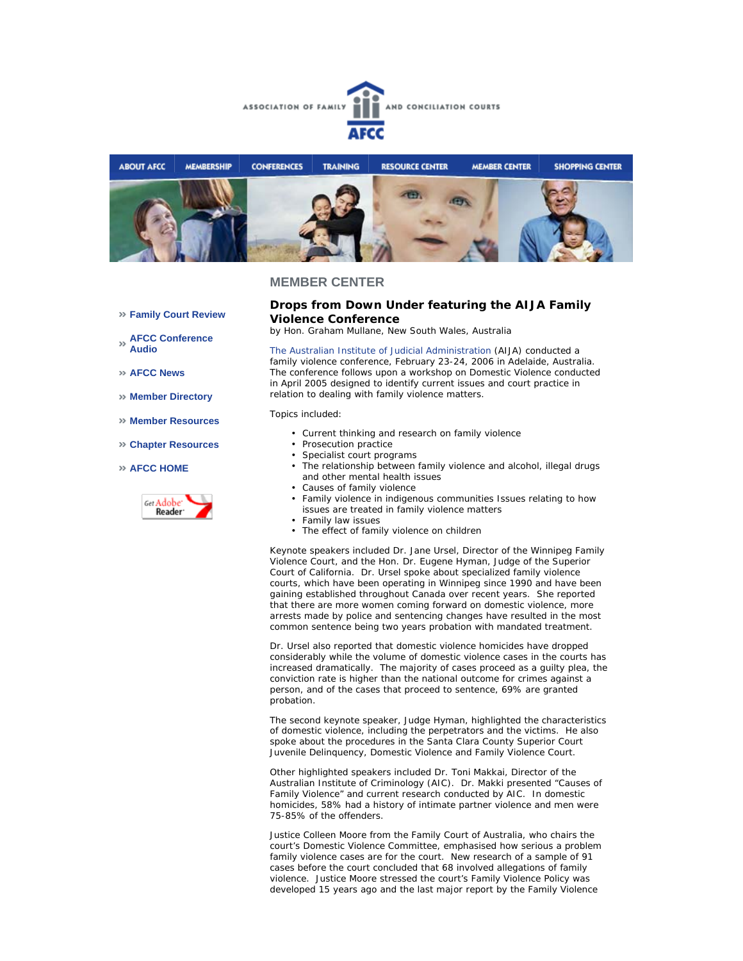



#### **Family Court Review**

**AFCC Conference Audio** 

**AFCC News** 

**Member Directory** 

- **Member Resources**
- **Chapter Resources**

#### **AFCC HOME**



## **Drops from Down Under featuring the AIJA Family Violence Conference**

*by Hon. Graham Mullane, New South Wales, Australia*

The Australian Institute of Judicial Administration (AIJA) conducted a family violence conference, February 23-24, 2006 in Adelaide, Australia. The conference follows upon a workshop on Domestic Violence conducted in April 2005 designed to identify current issues and court practice in relation to dealing with family violence matters.

Topics included:

- Current thinking and research on family violence
- Prosecution practice
- Specialist court programs
- The relationship between family violence and alcohol, illegal drugs and other mental health issues
- Causes of family violence
- Family violence in indigenous communities Issues relating to how issues are treated in family violence matters
- Family law issues
- The effect of family violence on children

Keynote speakers included Dr. Jane Ursel, Director of the Winnipeg Family Violence Court, and the Hon. Dr. Eugene Hyman, Judge of the Superior Court of California. Dr. Ursel spoke about specialized family violence courts, which have been operating in Winnipeg since 1990 and have been gaining established throughout Canada over recent years. She reported that there are more women coming forward on domestic violence, more arrests made by police and sentencing changes have resulted in the most common sentence being two years probation with mandated treatment.

Dr. Ursel also reported that domestic violence homicides have dropped considerably while the volume of domestic violence cases in the courts has increased dramatically. The majority of cases proceed as a guilty plea, the conviction rate is higher than the national outcome for crimes against a person, and of the cases that proceed to sentence, 69% are granted probation.

The second keynote speaker, Judge Hyman, highlighted the characteristics of domestic violence, including the perpetrators and the victims. He also spoke about the procedures in the Santa Clara County Superior Court Juvenile Delinquency, Domestic Violence and Family Violence Court.

Other highlighted speakers included Dr. Toni Makkai, Director of the Australian Institute of Criminology (AIC). Dr. Makki presented "Causes of Family Violence" and current research conducted by AIC. In domestic homicides, 58% had a history of intimate partner violence and men were 75-85% of the offenders.

Justice Colleen Moore from the Family Court of Australia, who chairs the court's Domestic Violence Committee, emphasised how serious a problem family violence cases are for the court. New research of a sample of 91 cases before the court concluded that 68 involved allegations of family violence. Justice Moore stressed the court's Family Violence Policy was developed 15 years ago and the last major report by the Family Violence